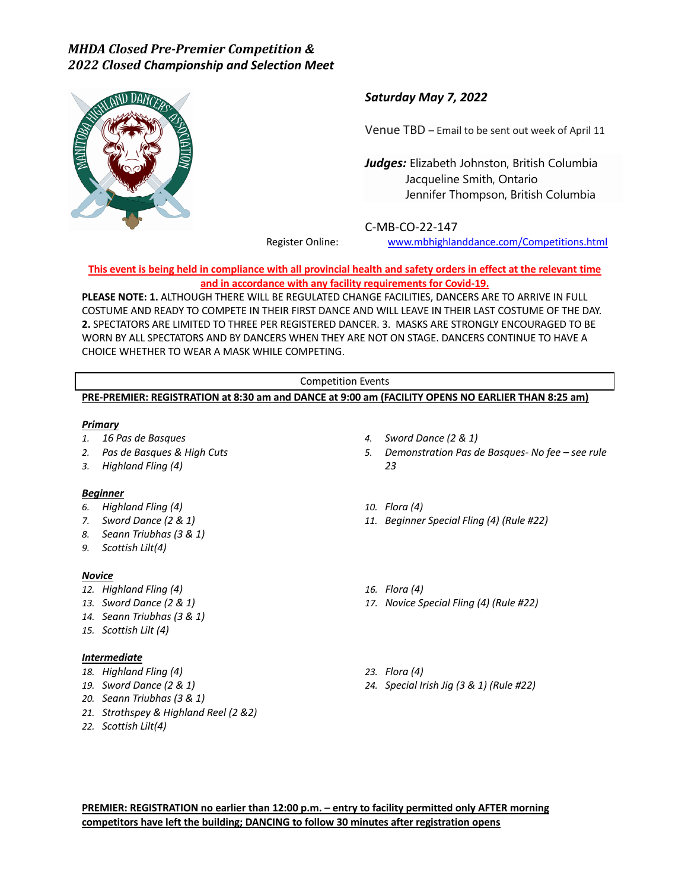

## *Saturday May 7, 2022*

Venue TBD – Email to be sent out week of April 11

*Judges:* Elizabeth Johnston, British Columbia Jacqueline Smith, Ontario Jennifer Thompson, British Columbia

C-MB-CO-22-147

Register Online: www.mbhighlanddance.com/Competitions.html

**This event is being held in compliance with all provincial health and safety orders in effect at the relevant time and in accordance with any facility requirements for Covid-19.** 

**PLEASE NOTE: 1.** ALTHOUGH THERE WILL BE REGULATED CHANGE FACILITIES, DANCERS ARE TO ARRIVE IN FULL COSTUME AND READY TO COMPETE IN THEIR FIRST DANCE AND WILL LEAVE IN THEIR LAST COSTUME OF THE DAY. **2.** SPECTATORS ARE LIMITED TO THREE PER REGISTERED DANCER. 3. MASKS ARE STRONGLY ENCOURAGED TO BE WORN BY ALL SPECTATORS AND BY DANCERS WHEN THEY ARE NOT ON STAGE. DANCERS CONTINUE TO HAVE A CHOICE WHETHER TO WEAR A MASK WHILE COMPETING.

#### Competition Events **PRE-PREMIER: REGISTRATION at 8:30 am and DANCE at 9:00 am (FACILITY OPENS NO EARLIER THAN 8:25 am)**

#### *Primary*

- *1. 16 Pas de Basques*
- *2. Pas de Basques & High Cuts*
- *3. Highland Fling (4)*

### *Beginner*

#### *6. Highland Fling (4)*

- *7. Sword Dance (2 & 1)*
- *8. Seann Triubhas (3 & 1)*
- *9. Scottish Lilt(4)*

#### *Novice*

- *12. Highland Fling (4)*
- *13. Sword Dance (2 & 1)*
- *14. Seann Triubhas (3 & 1)*
- *15. Scottish Lilt (4)*

### *Intermediate*

- *18. Highland Fling (4)*
- *19. Sword Dance (2 & 1)*
- *20. Seann Triubhas (3 & 1)*
- *21. Strathspey & Highland Reel (2 &2)*
- *22. Scottish Lilt(4)*
- *4. Sword Dance (2 & 1)*
- *5. Demonstration Pas de Basques- No fee – see rule 23*
- *10. Flora (4)*
- *11. Beginner Special Fling (4) (Rule #22)*
- *16. Flora (4)*
- *17. Novice Special Fling (4) (Rule #22)*
- *23. Flora (4)*
- *24. Special Irish Jig (3 & 1) (Rule #22)*

**PREMIER: REGISTRATION no earlier than 12:00 p.m. – entry to facility permitted only AFTER morning competitors have left the building; DANCING to follow 30 minutes after registration opens**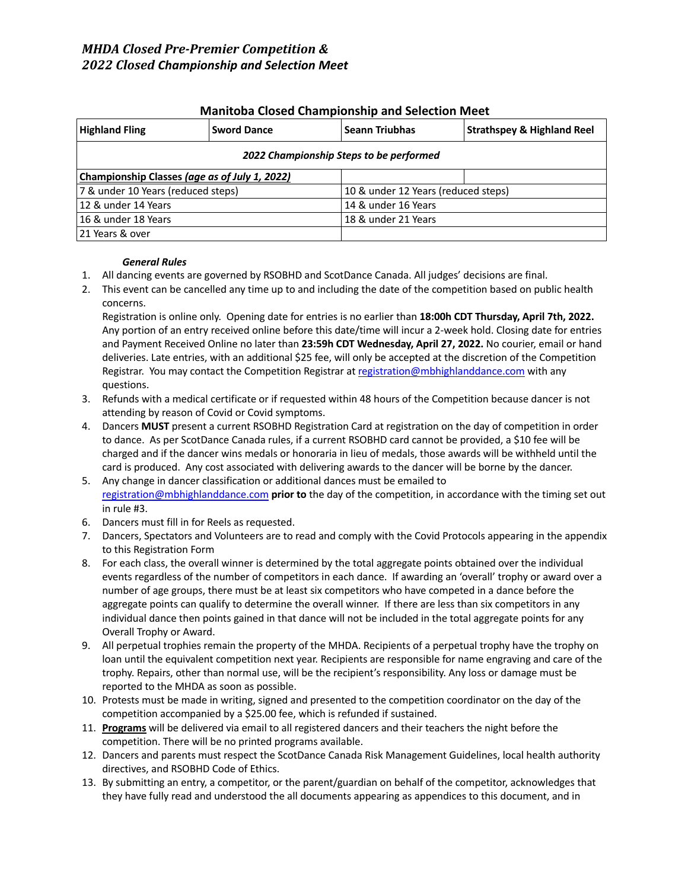| <u>manitoba ciosca championsino and sciection meet</u> |                    |                       |                                       |  |
|--------------------------------------------------------|--------------------|-----------------------|---------------------------------------|--|
| <b>Highland Fling</b>                                  | <b>Sword Dance</b> | <b>Seann Triubhas</b> | <b>Strathspey &amp; Highland Reel</b> |  |
| 2022 Championship Steps to be performed                |                    |                       |                                       |  |
| Championship Classes (age as of July 1, 2022)          |                    |                       |                                       |  |
| 7 & under 10 Years (reduced steps)                     |                    |                       | 10 & under 12 Years (reduced steps)   |  |
| 12 & under 14 Years                                    |                    | 14 & under 16 Years   |                                       |  |
| 16 & under 18 Years                                    |                    | 18 & under 21 Years   |                                       |  |
| 21 Years & over                                        |                    |                       |                                       |  |

### **Manitoba Closed Championship and Selection Meet**

#### *General Rules*

- 1. All dancing events are governed by RSOBHD and ScotDance Canada. All judges' decisions are final.
- 2. This event can be cancelled any time up to and including the date of the competition based on public health concerns.

Registration is online only. Opening date for entries is no earlier than **18:00h CDT Thursday, April 7th, 2022.** Any portion of an entry received online before this date/time will incur a 2-week hold. Closing date for entries and Payment Received Online no later than **23:59h CDT Wednesday, April 27, 2022.** No courier, email or hand deliveries. Late entries, with an additional \$25 fee, will only be accepted at the discretion of the Competition Registrar. You may contact the Competition Registrar at registration@mbhighlanddance.com with any questions.

- 3. Refunds with a medical certificate or if requested within 48 hours of the Competition because dancer is not attending by reason of Covid or Covid symptoms.
- 4. Dancers **MUST** present a current RSOBHD Registration Card at registration on the day of competition in order to dance. As per ScotDance Canada rules, if a current RSOBHD card cannot be provided, a \$10 fee will be charged and if the dancer wins medals or honoraria in lieu of medals, those awards will be withheld until the card is produced. Any cost associated with delivering awards to the dancer will be borne by the dancer.
- 5. Any change in dancer classification or additional dances must be emailed to registration@mbhighlanddance.com **prior to** the day of the competition, in accordance with the timing set out in rule #3.
- 6. Dancers must fill in for Reels as requested.
- 7. Dancers, Spectators and Volunteers are to read and comply with the Covid Protocols appearing in the appendix to this Registration Form
- 8. For each class, the overall winner is determined by the total aggregate points obtained over the individual events regardless of the number of competitors in each dance. If awarding an 'overall' trophy or award over a number of age groups, there must be at least six competitors who have competed in a dance before the aggregate points can qualify to determine the overall winner. If there are less than six competitors in any individual dance then points gained in that dance will not be included in the total aggregate points for any Overall Trophy or Award.
- 9. All perpetual trophies remain the property of the MHDA. Recipients of a perpetual trophy have the trophy on loan until the equivalent competition next year. Recipients are responsible for name engraving and care of the trophy. Repairs, other than normal use, will be the recipient's responsibility. Any loss or damage must be reported to the MHDA as soon as possible.
- 10. Protests must be made in writing, signed and presented to the competition coordinator on the day of the competition accompanied by a \$25.00 fee, which is refunded if sustained.
- 11. **Programs** will be delivered via email to all registered dancers and their teachers the night before the competition. There will be no printed programs available.
- 12. Dancers and parents must respect the ScotDance Canada Risk Management Guidelines, local health authority directives, and RSOBHD Code of Ethics.
- 13. By submitting an entry, a competitor, or the parent/guardian on behalf of the competitor, acknowledges that they have fully read and understood the all documents appearing as appendices to this document, and in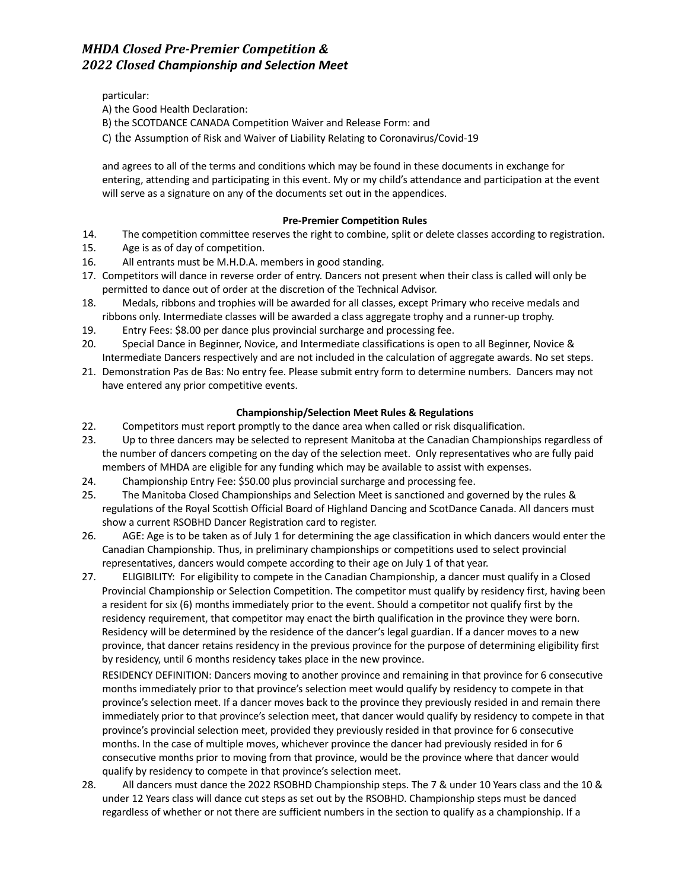particular:

A) the Good Health Declaration:

- B) the SCOTDANCE CANADA Competition Waiver and Release Form: and
- C) the Assumption of Risk and Waiver of Liability Relating to Coronavirus/Covid-19

and agrees to all of the terms and conditions which may be found in these documents in exchange for entering, attending and participating in this event. My or my child's attendance and participation at the event will serve as a signature on any of the documents set out in the appendices.

### **Pre-Premier Competition Rules**

- 14. The competition committee reserves the right to combine, split or delete classes according to registration.
- 15. Age is as of day of competition.
- 16. All entrants must be M.H.D.A. members in good standing.
- 17. Competitors will dance in reverse order of entry. Dancers not present when their class is called will only be permitted to dance out of order at the discretion of the Technical Advisor.
- 18. Medals, ribbons and trophies will be awarded for all classes, except Primary who receive medals and ribbons only. Intermediate classes will be awarded a class aggregate trophy and a runner-up trophy.
- 19. Entry Fees: \$8.00 per dance plus provincial surcharge and processing fee.
- 20. Special Dance in Beginner, Novice, and Intermediate classifications is open to all Beginner, Novice & Intermediate Dancers respectively and are not included in the calculation of aggregate awards. No set steps.
- 21. Demonstration Pas de Bas: No entry fee. Please submit entry form to determine numbers. Dancers may not have entered any prior competitive events.

### **Championship/Selection Meet Rules & Regulations**

- 22. Competitors must report promptly to the dance area when called or risk disqualification.
- 23. Up to three dancers may be selected to represent Manitoba at the Canadian Championships regardless of the number of dancers competing on the day of the selection meet. Only representatives who are fully paid members of MHDA are eligible for any funding which may be available to assist with expenses.
- 24. Championship Entry Fee: \$50.00 plus provincial surcharge and processing fee.
- 25. The Manitoba Closed Championships and Selection Meet is sanctioned and governed by the rules & regulations of the Royal Scottish Official Board of Highland Dancing and ScotDance Canada. All dancers must show a current RSOBHD Dancer Registration card to register.
- 26. AGE: Age is to be taken as of July 1 for determining the age classification in which dancers would enter the Canadian Championship. Thus, in preliminary championships or competitions used to select provincial representatives, dancers would compete according to their age on July 1 of that year.
- 27. ELIGIBILITY: For eligibility to compete in the Canadian Championship, a dancer must qualify in a Closed Provincial Championship or Selection Competition. The competitor must qualify by residency first, having been a resident for six (6) months immediately prior to the event. Should a competitor not qualify first by the residency requirement, that competitor may enact the birth qualification in the province they were born. Residency will be determined by the residence of the dancer's legal guardian. If a dancer moves to a new province, that dancer retains residency in the previous province for the purpose of determining eligibility first by residency, until 6 months residency takes place in the new province.

RESIDENCY DEFINITION: Dancers moving to another province and remaining in that province for 6 consecutive months immediately prior to that province's selection meet would qualify by residency to compete in that province's selection meet. If a dancer moves back to the province they previously resided in and remain there immediately prior to that province's selection meet, that dancer would qualify by residency to compete in that province's provincial selection meet, provided they previously resided in that province for 6 consecutive months. In the case of multiple moves, whichever province the dancer had previously resided in for 6 consecutive months prior to moving from that province, would be the province where that dancer would qualify by residency to compete in that province's selection meet.

28. All dancers must dance the 2022 RSOBHD Championship steps. The 7 & under 10 Years class and the 10 & under 12 Years class will dance cut steps as set out by the RSOBHD. Championship steps must be danced regardless of whether or not there are sufficient numbers in the section to qualify as a championship. If a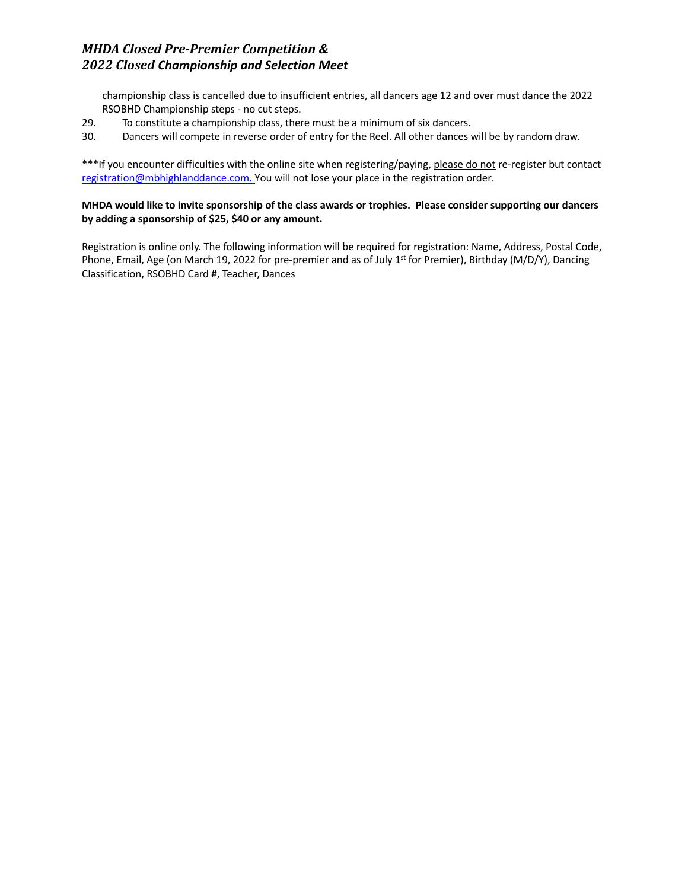championship class is cancelled due to insufficient entries, all dancers age 12 and over must dance the 2022 RSOBHD Championship steps - no cut steps.

29. To constitute a championship class, there must be a minimum of six dancers.

30. Dancers will compete in reverse order of entry for the Reel. All other dances will be by random draw.

\*\*\*If you encounter difficulties with the online site when registering/paying, please do not re-register but contact registration@mbhighlanddance.com. You will not lose your place in the registration order.

### **MHDA would like to invite sponsorship of the class awards or trophies. Please consider supporting our dancers by adding a sponsorship of \$25, \$40 or any amount.**

Registration is online only. The following information will be required for registration: Name, Address, Postal Code, Phone, Email, Age (on March 19, 2022 for pre-premier and as of July 1<sup>st</sup> for Premier), Birthday (M/D/Y), Dancing Classification, RSOBHD Card #, Teacher, Dances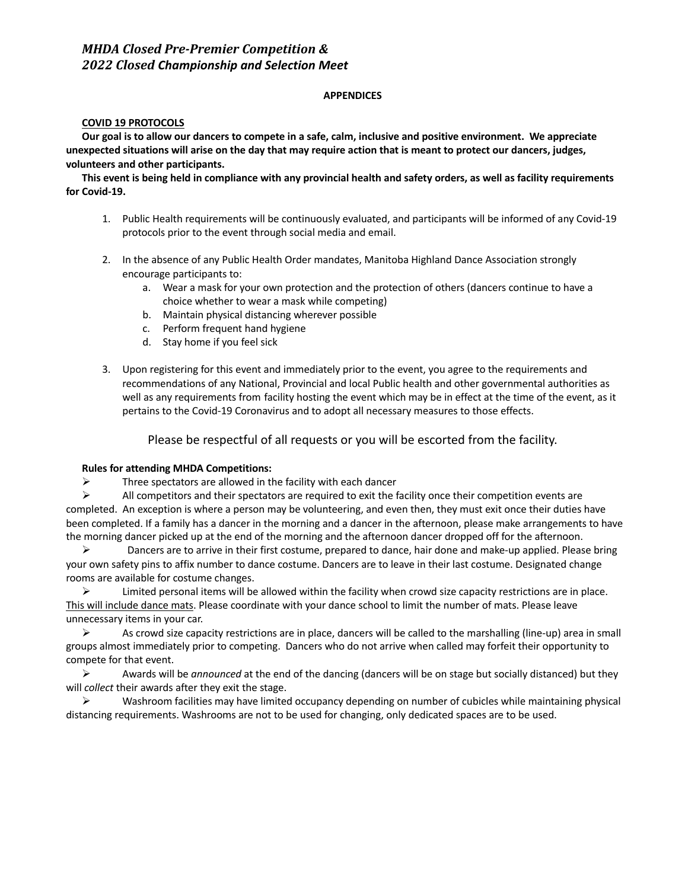#### **APPENDICES**

#### **COVID 19 PROTOCOLS**

**Our goal is to allow our dancers to compete in a safe, calm, inclusive and positive environment. We appreciate unexpected situations will arise on the day that may require action that is meant to protect our dancers, judges, volunteers and other participants.** 

**This event is being held in compliance with any provincial health and safety orders, as well as facility requirements for Covid-19.**

- 1. Public Health requirements will be continuously evaluated, and participants will be informed of any Covid-19 protocols prior to the event through social media and email.
- 2. In the absence of any Public Health Order mandates, Manitoba Highland Dance Association strongly encourage participants to:
	- a. Wear a mask for your own protection and the protection of others (dancers continue to have a choice whether to wear a mask while competing)
	- b. Maintain physical distancing wherever possible
	- c. Perform frequent hand hygiene
	- d. Stay home if you feel sick
- 3. Upon registering for this event and immediately prior to the event, you agree to the requirements and recommendations of any National, Provincial and local Public health and other governmental authorities as well as any requirements from facility hosting the event which may be in effect at the time of the event, as it pertains to the Covid-19 Coronavirus and to adopt all necessary measures to those effects.

Please be respectful of all requests or you will be escorted from the facility.

#### **Rules for attending MHDA Competitions:**

 $\triangleright$  Three spectators are allowed in the facility with each dancer

 $\triangleright$  All competitors and their spectators are required to exit the facility once their competition events are completed. An exception is where a person may be volunteering, and even then, they must exit once their duties have been completed. If a family has a dancer in the morning and a dancer in the afternoon, please make arrangements to have the morning dancer picked up at the end of the morning and the afternoon dancer dropped off for the afternoon.

 $\triangleright$  Dancers are to arrive in their first costume, prepared to dance, hair done and make-up applied. Please bring your own safety pins to affix number to dance costume. Dancers are to leave in their last costume. Designated change rooms are available for costume changes.

 $\triangleright$  Limited personal items will be allowed within the facility when crowd size capacity restrictions are in place. This will include dance mats. Please coordinate with your dance school to limit the number of mats. Please leave unnecessary items in your car.

 $\triangleright$  As crowd size capacity restrictions are in place, dancers will be called to the marshalling (line-up) area in small groups almost immediately prior to competing. Dancers who do not arrive when called may forfeit their opportunity to compete for that event.

! Awards will be *announced* at the end of the dancing (dancers will be on stage but socially distanced) but they will *collect* their awards after they exit the stage.

 $\triangleright$  Washroom facilities may have limited occupancy depending on number of cubicles while maintaining physical distancing requirements. Washrooms are not to be used for changing, only dedicated spaces are to be used.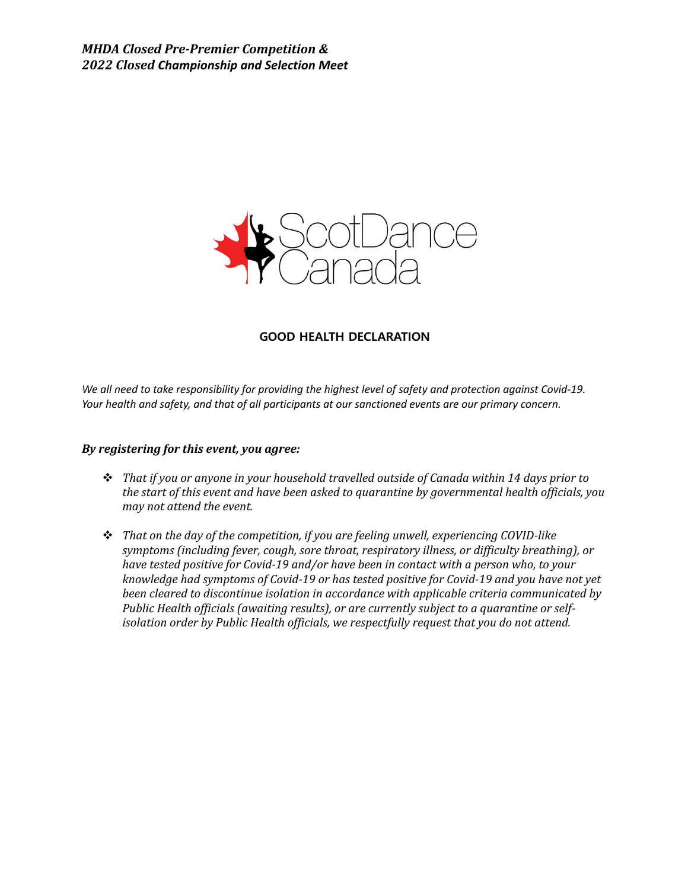

### **GOOD HEALTH DECLARATION**

*We all need to take responsibility for providing the highest level of safety and protection against Covid-19. Your health and safety, and that of all participants at our sanctioned events are our primary concern.*

### *By registering for this event, you agree:*

- \* That if you or anyone in your household travelled outside of Canada within 14 days prior to the start of this event and have been asked to quarantine by governmental health officials, you *may not attend the event.*
- \* That on the day of the competition, if you are feeling unwell, experiencing COVID-like symptoms (including fever, cough, sore throat, respiratory illness, or difficulty breathing), or *have tested positive for Covid-19 and/or have been in contact with a person who, to your knowledge had symptoms of Covid-19 or has tested positive for Covid-19 and you have not yet* been cleared to discontinue isolation in accordance with applicable criteria communicated by Public Health officials (awaiting results), or are currently subject to a quarantine or self*isolation order by Public Health officials, we respectfully request that you do not attend.*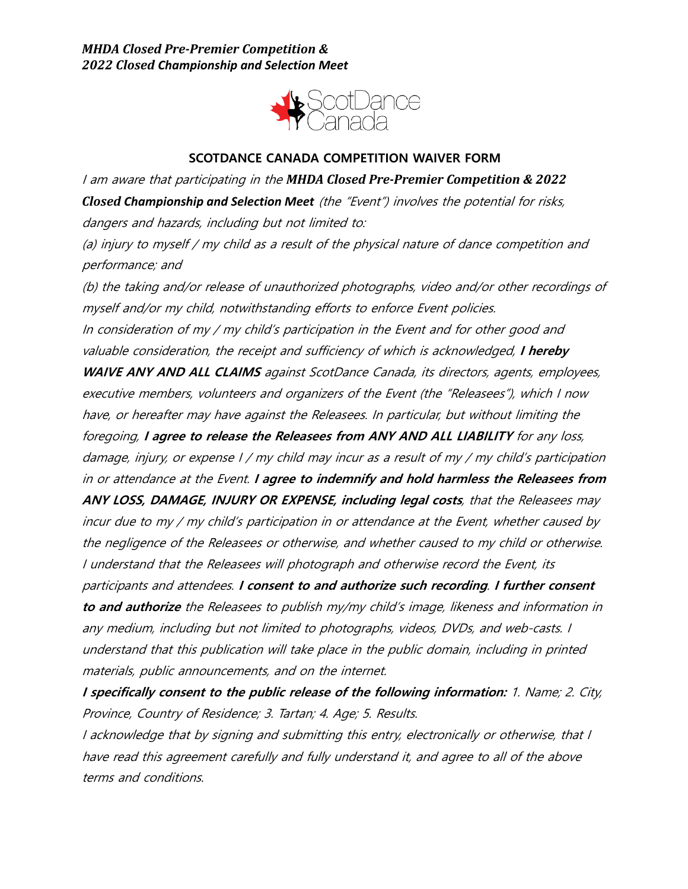

# **SCOTDANCE CANADA COMPETITION WAIVER FORM**

I am aware that participating in the **MHDA Closed Pre-Premier Competition & 2022** *Closed Championship and Selection Meet* (the "Event") involves the potential for risks, dangers and hazards, including but not limited to:

(a) injury to myself / my child as <sup>a</sup> result of the physical nature of dance competition and performance; and

(b) the taking and/or release of unauthorized photographs, video and/or other recordings of myself and/or my child, notwithstanding efforts to enforce Event policies. In consideration of my / my child's participation in the Event and for other good and valuable consideration, the receipt and sufficiency of which is acknowledged, **I hereby WAIVE ANY AND ALL CLAIMS** against ScotDance Canada, its directors, agents, employees, executive members, volunteers and organizers of the Event (the "Releasees"), which I now have, or hereafter may have against the Releasees. In particular, but without limiting the foregoing, **I agree to release the Releasees from ANY AND ALL LIABILITY** for any loss, damage, injury, or expense I / my child may incur as <sup>a</sup> result of my / my child's participation in or attendance at the Event. **I agree to indemnify and hold harmless the Releasees from ANY LOSS, DAMAGE, INJURY OR EXPENSE, including legal costs**, that the Releasees may incur due to my / my child's participation in or attendance at the Event, whether caused by the negligence of the Releasees or otherwise, and whether caused to my child or otherwise. I understand that the Releasees will photograph and otherwise record the Event, its participants and attendees. **I consent to and authorize such recording**. **I further consent to and authorize** the Releasees to publish my/my child's image, likeness and information in any medium, including but not limited to photographs, videos, DVDs, and web-casts. I understand that this publication will take place in the public domain, including in printed materials, public announcements, and on the internet.

**I specifically consent to the public release of the following information:** 1. Name; 2. City, Province, Country of Residence; 3. Tartan; 4. Age; 5. Results.

I acknowledge that by signing and submitting this entry, electronically or otherwise, that I have read this agreement carefully and fully understand it, and agree to all of the above terms and conditions.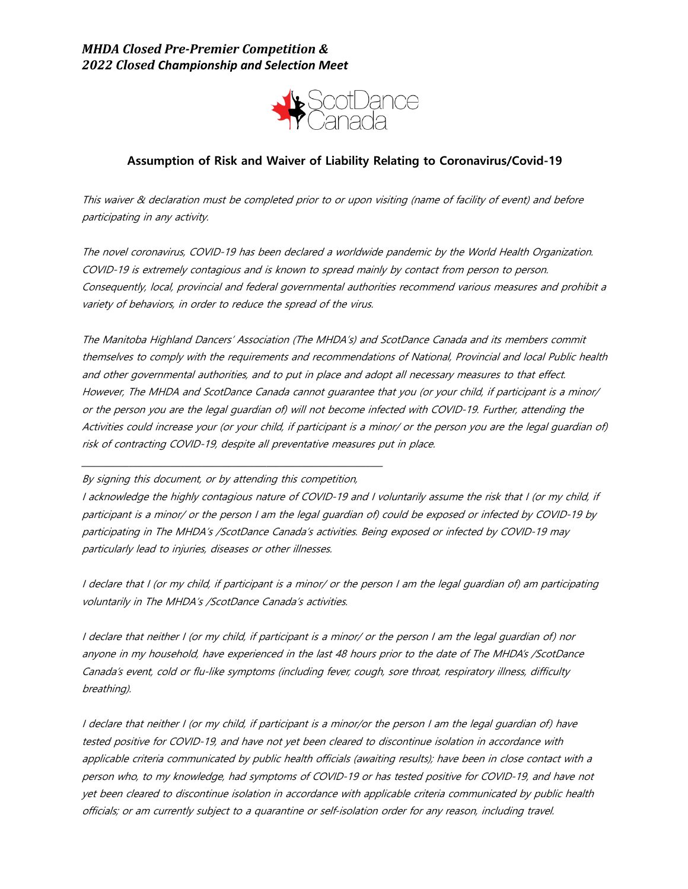

## **Assumption of Risk and Waiver of Liability Relating to Coronavirus/Covid-19**

This waiver & declaration must be completed prior to or upon visiting (name of facility of event) and before participating in any activity.

The novel coronavirus, COVID-19 has been declared a worldwide pandemic by the World Health Organization. COVID-19 is extremely contagious and is known to spread mainly by contact from person to person. Consequently, local, provincial and federal governmental authorities recommend various measures and prohibit a variety of behaviors, in order to reduce the spread of the virus.

The Manitoba Highland Dancers' Association (The MHDA's) and ScotDance Canada and its members commit themselves to comply with the requirements and recommendations of National, Provincial and local Public health and other governmental authorities, and to put in place and adopt all necessary measures to that effect. However, The MHDA and ScotDance Canada cannot guarantee that you (or your child, if participant is a minor/ or the person you are the legal guardian of) will not become infected with COVID-19. Further, attending the Activities could increase your (or your child, if participant is a minor/ or the person you are the legal guardian of) risk of contracting COVID-19, despite all preventative measures put in place.

By signing this document, or by attending this competition,

\_\_\_\_\_\_\_\_\_\_\_\_\_\_\_\_\_\_\_\_\_\_\_\_\_\_\_\_\_\_\_\_\_\_\_\_\_\_\_\_\_\_\_\_\_\_\_\_\_\_\_\_\_\_\_\_\_\_\_\_\_\_\_\_\_\_\_\_\_\_

I acknowledge the highly contagious nature of COVID-19 and I voluntarily assume the risk that I (or my child, if participant is a minor/ or the person I am the legal guardian of) could be exposed or infected by COVID-19 by participating in The MHDA's /ScotDance Canada's activities. Being exposed or infected by COVID-19 may particularly lead to injuries, diseases or other illnesses.

I declare that I (or my child, if participant is a minor/ or the person I am the legal guardian of) am participating voluntarily in The MHDA's /ScotDance Canada's activities.

I declare that neither I (or my child, if participant is a minor/ or the person I am the legal guardian of) nor anyone in my household, have experienced in the last 48 hours prior to the date of The MHDA's /ScotDance Canada's event, cold or flu-like symptoms (including fever, cough, sore throat, respiratory illness, difficulty breathing).

I declare that neither I (or my child, if participant is a minor/or the person I am the legal guardian of) have tested positive for COVID-19, and have not yet been cleared to discontinue isolation in accordance with applicable criteria communicated by public health officials (awaiting results); have been in close contact with a person who, to my knowledge, had symptoms of COVID-19 or has tested positive for COVID-19, and have not yet been cleared to discontinue isolation in accordance with applicable criteria communicated by public health officials; or am currently subject to a quarantine or self-isolation order for any reason, including travel.